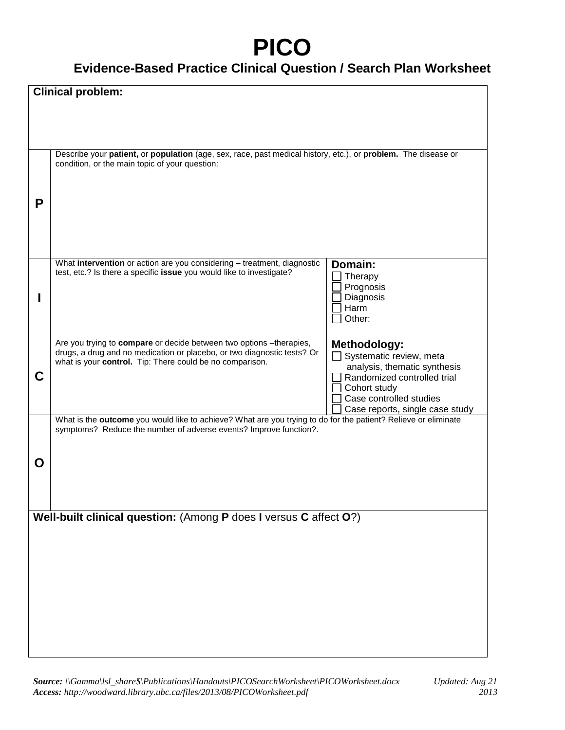## **PICO**

## **Evidence-Based Practice Clinical Question / Search Plan Worksheet**

| Ρ<br>What intervention or action are you considering - treatment, diagnostic<br>Domain:<br>test, etc.? Is there a specific issue you would like to investigate?<br>Therapy<br>Prognosis<br>Diagnosis<br>Harm<br>Other:<br>Are you trying to compare or decide between two options -therapies,<br><b>Methodology:</b><br>drugs, a drug and no medication or placebo, or two diagnostic tests? Or<br>$\Box$ Systematic review, meta<br>what is your control. Tip: There could be no comparison.<br>analysis, thematic synthesis<br>C<br>Randomized controlled trial<br>Cohort study<br>Case controlled studies<br>Case reports, single case study<br>What is the outcome you would like to achieve? What are you trying to do for the patient? Relieve or eliminate<br>symptoms? Reduce the number of adverse events? Improve function?.<br>O |  |
|---------------------------------------------------------------------------------------------------------------------------------------------------------------------------------------------------------------------------------------------------------------------------------------------------------------------------------------------------------------------------------------------------------------------------------------------------------------------------------------------------------------------------------------------------------------------------------------------------------------------------------------------------------------------------------------------------------------------------------------------------------------------------------------------------------------------------------------------|--|
|                                                                                                                                                                                                                                                                                                                                                                                                                                                                                                                                                                                                                                                                                                                                                                                                                                             |  |
|                                                                                                                                                                                                                                                                                                                                                                                                                                                                                                                                                                                                                                                                                                                                                                                                                                             |  |
|                                                                                                                                                                                                                                                                                                                                                                                                                                                                                                                                                                                                                                                                                                                                                                                                                                             |  |
|                                                                                                                                                                                                                                                                                                                                                                                                                                                                                                                                                                                                                                                                                                                                                                                                                                             |  |